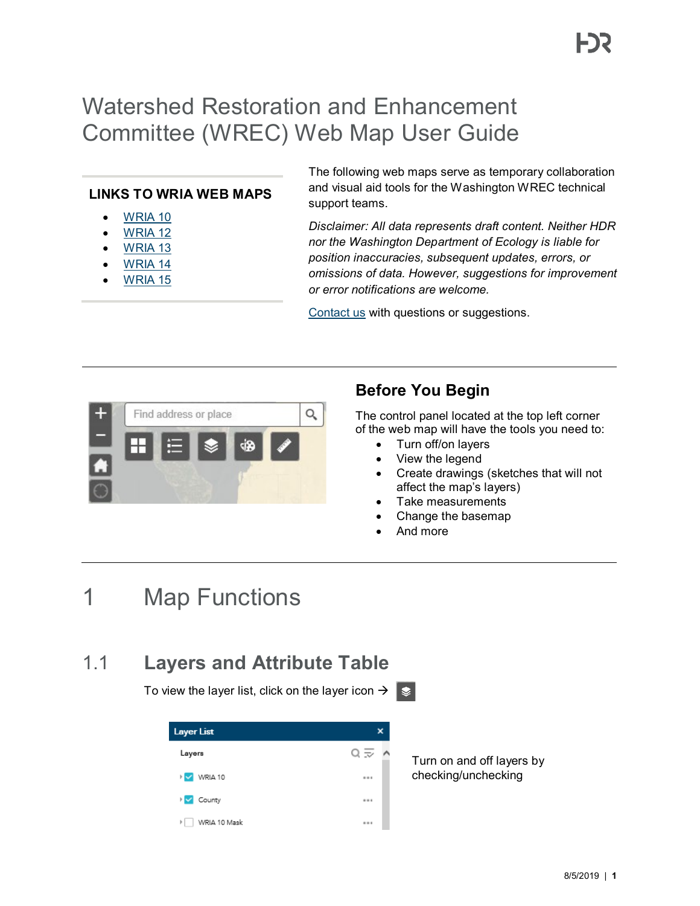# Watershed Restoration and Enhancement Committee (WREC) Web Map User Guide

#### **LINKS TO WRIA WEB MAPS**

- [WRIA 10](http://hdr.maps.arcgis.com/apps/webappviewer/index.html?id=80d55f4e263d4a27a7f987f62f7846b7)
- [WRIA 12](http://hdr.maps.arcgis.com/apps/webappviewer/index.html?id=9dac3c330fb240889981a7d3fe98ef6b)
- [WRIA 13](http://hdr.maps.arcgis.com/apps/webappviewer/index.html?id=0f269fb50de1483390df3d47f048d8ae)
- [WRIA 14](http://hdr.maps.arcgis.com/apps/webappviewer/index.html?id=81789289a8a94435b8b5d3a823f29751)
- [WRIA 15](http://hdr.maps.arcgis.com/apps/webappviewer/index.html?id=d7d02dedb57241aa81dd7eb376c8625a)

The following web maps serve as temporary collaboration and visual aid tools for the Washington WREC technical support teams.

*Disclaimer: All data represents draft content. Neither HDR nor the Washington Department of Ecology is liable for position inaccuracies, subsequent updates, errors, or omissions of data. However, suggestions for improvement or error notifications are welcome.*

[Contact us](mailto:vanessa.bauman@hdrinc.com) with questions or suggestions.



### **Before You Begin**

The control panel located at the top left corner of the web map will have the tools you need to:

- Turn off/on layers
- View the legend
- Create drawings (sketches that will not affect the map's layers)
- Take measurements
- Change the basemap
- And more

# 1 Map Functions

## 1.1 **Layers and Attribute Table**

To view the layer list, click on the layer icon  $\rightarrow$ 

| Layer List        |    |
|-------------------|----|
| Layers            | α≂ |
| WRIA 10<br>∎∽     |    |
| <b>N</b> County   |    |
| WRIA 10 Mask<br>Þ |    |

Turn on and off layers by checking/unchecking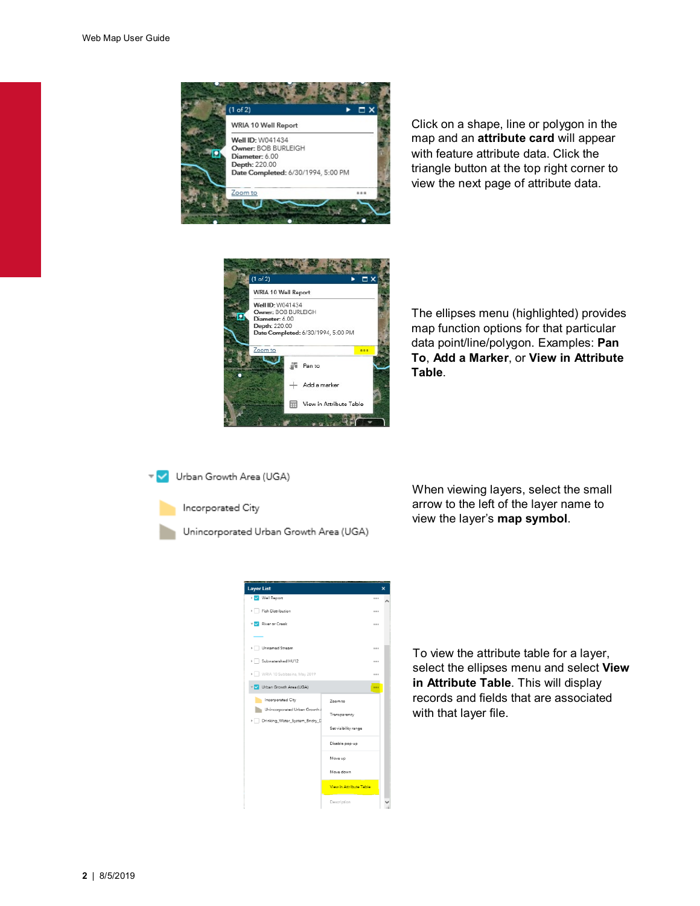

Click on a shape, line or polygon in the map and an **attribute card** will appear with feature attribute data. Click the triangle button at the top right corner to view the next page of attribute data.



The ellipses menu (highlighted) provides map function options for that particular data point/line/polygon. Examples: **Pan To**, **Add a Marker**, or **View in Attribute Table**.

V Urban Growth Area (UGA)

Incorporated City

Unincorporated Urban Growth Area (UGA)

When viewing layers, select the small arrow to the left of the layer name to view the layer's **map symbol**.



To view the attribute table for a layer, select the ellipses menu and select **View in Attribute Table**. This will display records and fields that are associated with that layer file.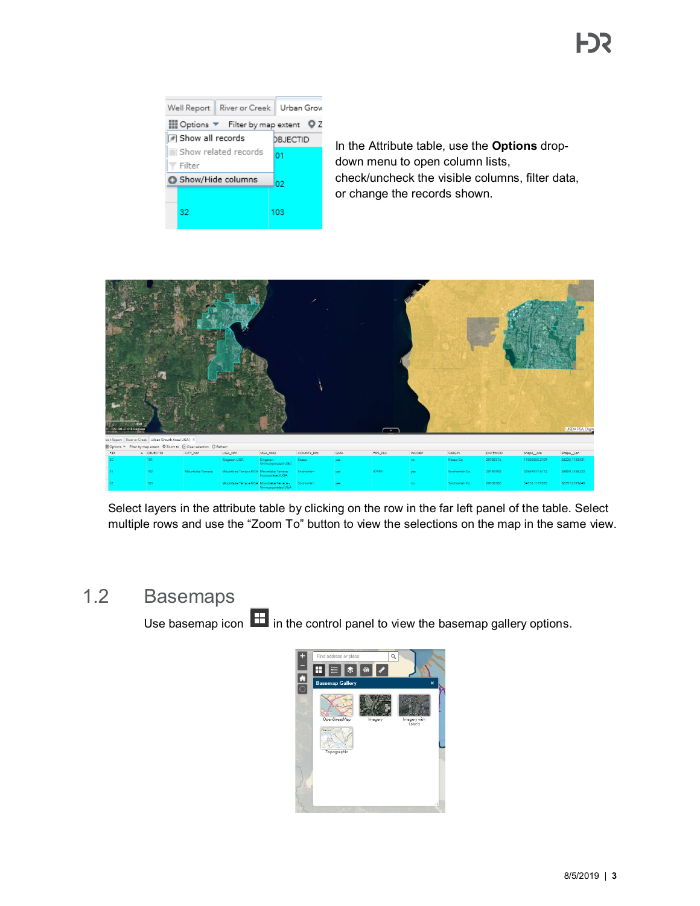| Well Report   River or Creek   Urban Grow |          |
|-------------------------------------------|----------|
| IIII Options ▼ Filter by map extent<br>OZ |          |
| <b>▼ Show all records</b>                 | DBJECTID |
| Show related records                      | 01       |
| Filter                                    |          |
| Show/Hide columns                         | 02       |
|                                           |          |
|                                           | 103      |
|                                           |          |

In the Attribute table, use the **Options** dropdown menu to open column lists, check/uncheck the visible columns, filter data, or change the records shown.



Select layers in the attribute table by clicking on the row in the far left panel of the table. Select multiple rows and use the "Zoom To" button to view the selections on the map in the same view.

## 1.2 Basemaps

Use basemap icon  $\overline{H}$  in the control panel to view the basemap gallery options.

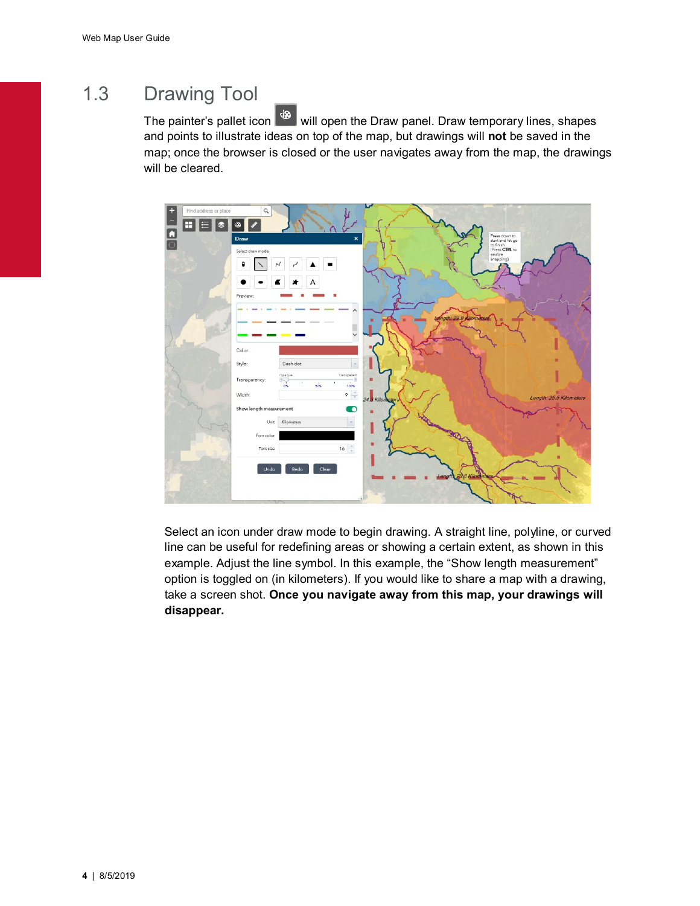# 1.3 Drawing Tool

The painter's pallet icon  $\boxed{\mathscr{B}}$  will open the Draw panel. Draw temporary lines, shapes and points to illustrate ideas on top of the map, but drawings will **not** be saved in the map; once the browser is closed or the user navigates away from the map, the drawings will be cleared.



Select an icon under draw mode to begin drawing. A straight line, polyline, or curved line can be useful for redefining areas or showing a certain extent, as shown in this example. Adjust the line symbol. In this example, the "Show length measurement" option is toggled on (in kilometers). If you would like to share a map with a drawing, take a screen shot. **Once you navigate away from this map, your drawings will disappear.**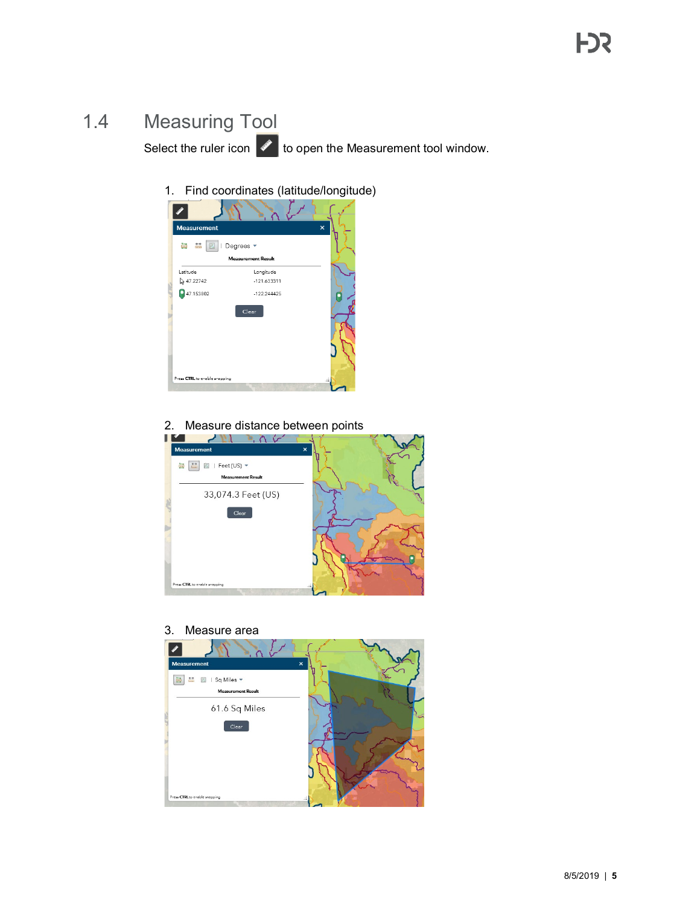# 1.4 Measuring Tool

Select the ruler icon  $\Diamond$  to open the Measurement tool window.

#### 1. Find coordinates (latitude/longitude)



# 2. Measure distance between points



#### 3. Measure area

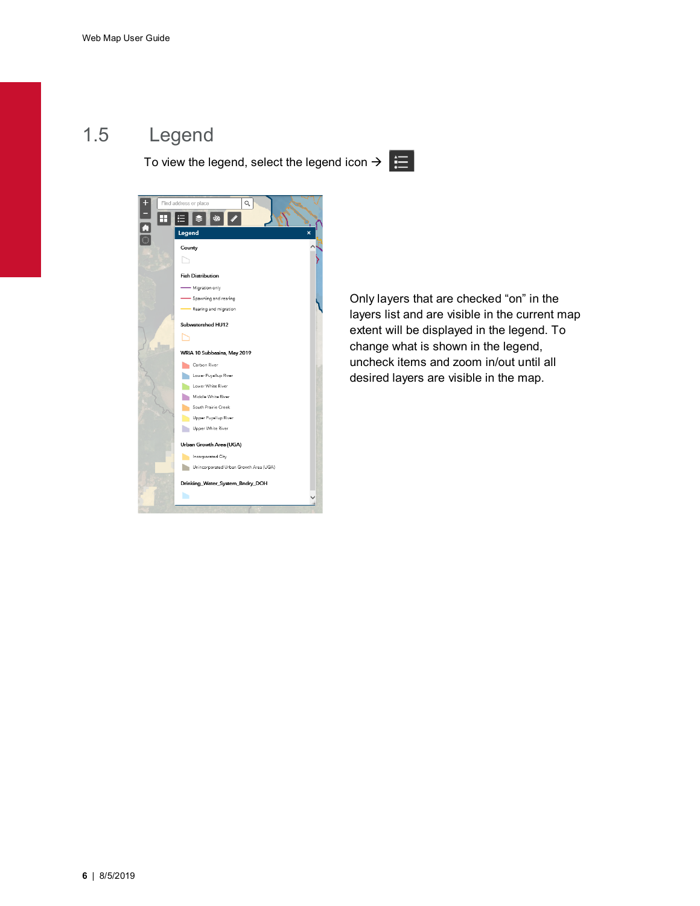# 1.5 Legend

To view the legend, select the legend icon  $\rightarrow$ 





Only layers that are checked "on" in the layers list and are visible in the current map extent will be displayed in the legend. To change what is shown in the legend, uncheck items and zoom in/out until all desired layers are visible in the map.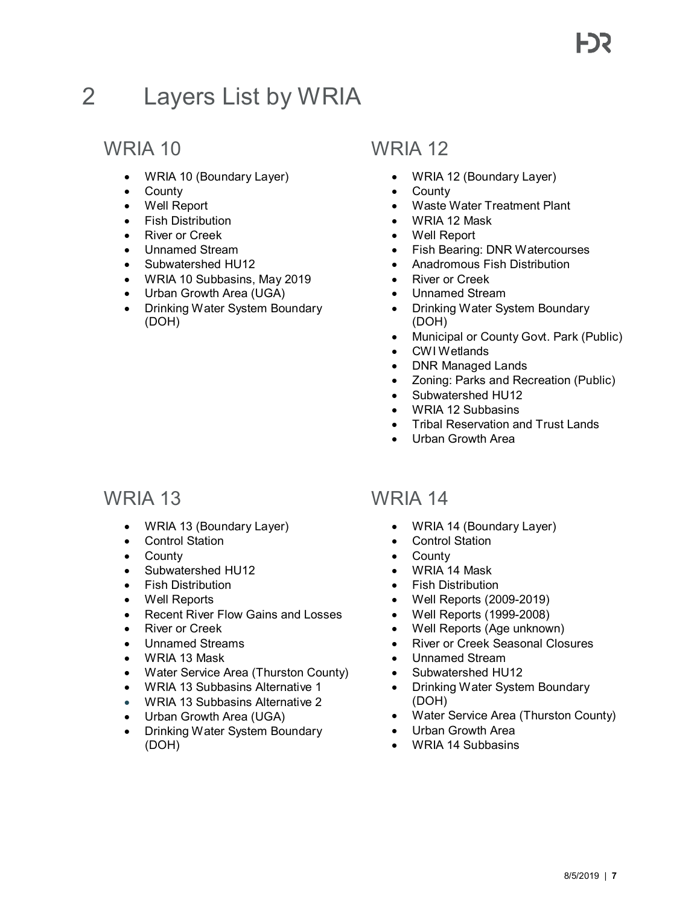# 2 Layers List by WRIA

# WRIA 10 WRIA 12

- WRIA 10 (Boundary Layer)
- County
- Well Report
- Fish Distribution
- River or Creek
- Unnamed Stream
- Subwatershed HU12
- WRIA 10 Subbasins, May 2019
- Urban Growth Area (UGA)
- Drinking Water System Boundary (DOH)

- WRIA 12 (Boundary Layer)
- County
- Waste Water Treatment Plant
- WRIA 12 Mask
- Well Report
- Fish Bearing: DNR Watercourses
- Anadromous Fish Distribution
- River or Creek
- Unnamed Stream
- Drinking Water System Boundary (DOH)
- Municipal or County Govt. Park (Public)
- CWI Wetlands
- DNR Managed Lands
- Zoning: Parks and Recreation (Public)
- Subwatershed HU12
- WRIA 12 Subbasins
- Tribal Reservation and Trust Lands
- Urban Growth Area

### WRIA 13 WRIA 14

- WRIA 13 (Boundary Layer)
- Control Station
- County
- Subwatershed HU12
- Fish Distribution
- Well Reports
- Recent River Flow Gains and Losses
- River or Creek
- Unnamed Streams
- WRIA 13 Mask
- Water Service Area (Thurston County)
- WRIA 13 Subbasins Alternative 1
- WRIA 13 Subbasins Alternative 2
- Urban Growth Area (UGA)
- Drinking Water System Boundary (DOH)

- WRIA 14 (Boundary Layer)
- Control Station
- County
- WRIA 14 Mask
- Fish Distribution
- Well Reports (2009-2019)
- Well Reports (1999-2008)
- Well Reports (Age unknown)
- River or Creek Seasonal Closures
- Unnamed Stream
- Subwatershed HU12
- Drinking Water System Boundary (DOH)
- Water Service Area (Thurston County)
- Urban Growth Area
- WRIA 14 Subbasins